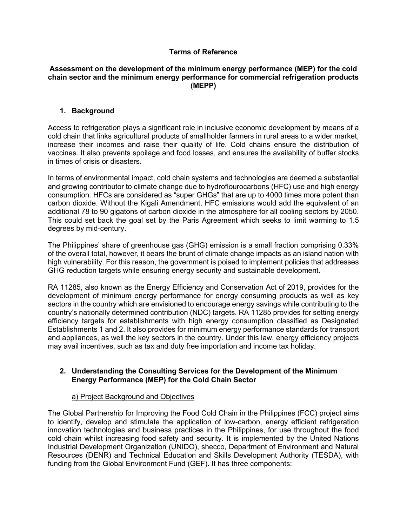## **Terms of Reference**

#### **Assessment on the development of the minimum energy performance (MEP) for the cold chain sector and the minimum energy performance for commercial refrigeration products (MEPP)**

## **1. Background**

Access to refrigeration plays a significant role in inclusive economic development by means of a cold chain that links agricultural products of smallholder farmers in rural areas to a wider market, increase their incomes and raise their quality of life. Cold chains ensure the distribution of vaccines. It also prevents spoilage and food losses, and ensures the availability of buffer stocks in times of crisis or disasters.

In terms of environmental impact, cold chain systems and technologies are deemed a substantial and growing contributor to climate change due to hydroflourocarbons (HFC) use and high energy consumption. HFCs are considered as "super GHGs" that are up to 4000 times more potent than carbon dioxide. Without the Kigali Amendment, HFC emissions would add the equivalent of an additional 78 to 90 gigatons of carbon dioxide in the atmosphere for all cooling sectors by 2050. This could set back the goal set by the Paris Agreement which seeks to limit warming to 1.5 degrees by mid-century.

The Philippines' share of greenhouse gas (GHG) emission is a small fraction comprising 0.33% of the overall total, however, it bears the brunt of climate change impacts as an island nation with high vulnerability. For this reason, the government is poised to implement policies that addresses GHG reduction targets while ensuring energy security and sustainable development.

RA 11285, also known as the Energy Efficiency and Conservation Act of 2019, provides for the development of minimum energy performance for energy consuming products as well as key sectors in the country which are envisioned to encourage energy savings while contributing to the country's nationally determined contribution (NDC) targets. RA 11285 provides for setting energy efficiency targets for establishments with high energy consumption classified as Designated Establishments 1 and 2. It also provides for minimum energy performance standards for transport and appliances, as well the key sectors in the country. Under this law, energy efficiency projects may avail incentives, such as tax and duty free importation and income tax holiday.

## **2. Understanding the Consulting Services for the Development of the Minimum Energy Performance (MEP) for the Cold Chain Sector**

## a) Project Background and Objectives

The Global Partnership for Improving the Food Cold Chain in the Philippines (FCC) project aims to identify, develop and stimulate the application of low-carbon, energy efficient refrigeration innovation technologies and business practices in the Philippines, for use throughout the food cold chain whilst increasing food safety and security. It is implemented by the United Nations Industrial Development Organization (UNIDO), shecco, Department of Environment and Natural Resources (DENR) and Technical Education and Skills Development Authority (TESDA), with funding from the Global Environment Fund (GEF). It has three components: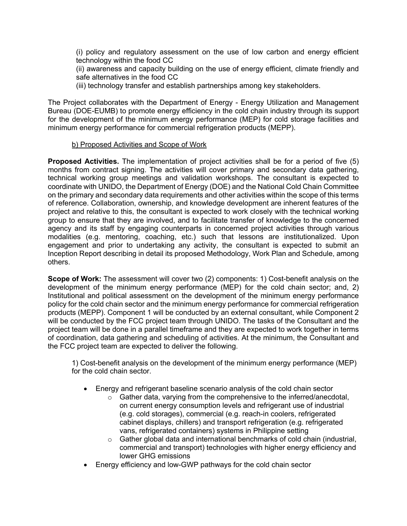(i) policy and regulatory assessment on the use of low carbon and energy efficient technology within the food CC

(ii) awareness and capacity building on the use of energy efficient, climate friendly and safe alternatives in the food CC

(iii) technology transfer and establish partnerships among key stakeholders.

The Proiect collaborates with the Department of Energy - Energy Utilization and Management Bureau (DOE-EUMB) to promote energy efficiency in the cold chain industry through its support for the development of the minimum energy performance (MEP) for cold storage facilities and minimum energy performance for commercial refrigeration products (MEPP).

## b) Proposed Activities and Scope of Work

**Proposed Activities.** The implementation of project activities shall be for a period of five (5) months from contract signing. The activities will cover primary and secondary data gathering, technical working group meetings and validation workshops. The consultant is expected to coordinate with UNIDO, the Department of Energy (DOE) and the National Cold Chain Committee on the primary and secondary data requirements and other activities within the scope of this terms of reference. Collaboration, ownership, and knowledge development are inherent features of the project and relative to this, the consultant is expected to work closely with the technical working group to ensure that they are involved, and to facilitate transfer of knowledge to the concerned agency and its staff by engaging counterparts in concerned project activities through various modalities (e.g. mentoring, coaching, etc.) such that lessons are institutionalized. Upon engagement and prior to undertaking any activity, the consultant is expected to submit an Inception Report describing in detail its proposed Methodology, Work Plan and Schedule, among others.

**Scope of Work:** The assessment will cover two (2) components: 1) Cost-benefit analysis on the development of the minimum energy performance (MEP) for the cold chain sector; and, 2) Institutional and political assessment on the development of the minimum energy performance policy for the cold chain sector and the minimum energy performance for commercial refrigeration products (MEPP). Component 1 will be conducted by an external consultant, while Component 2 will be conducted by the FCC project team through UNIDO. The tasks of the Consultant and the project team will be done in a parallel timeframe and they are expected to work together in terms of coordination, data gathering and scheduling of activities. At the minimum, the Consultant and the FCC project team are expected to deliver the following.

1) Cost-benefit analysis on the development of the minimum energy performance (MEP) for the cold chain sector.

- Energy and refrigerant baseline scenario analysis of the cold chain sector
	- o Gather data, varying from the comprehensive to the inferred/anecdotal, on current energy consumption levels and refrigerant use of industrial (e.g. cold storages), commercial (e.g. reach-in coolers, refrigerated cabinet displays, chillers) and transport refrigeration (e.g. refrigerated vans, refrigerated containers) systems in Philippine setting
	- $\circ$  Gather global data and international benchmarks of cold chain (industrial, commercial and transport) technologies with higher energy efficiency and lower GHG emissions
- Energy efficiency and low-GWP pathways for the cold chain sector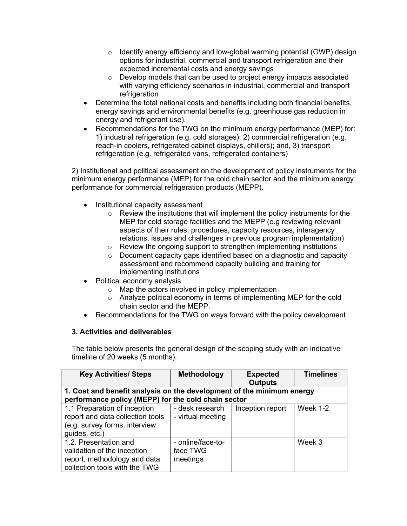- $\circ$  Identify energy efficiency and low-global warming potential (GWP) design options for industrial, commercial and transport refrigeration and their expected incremental costs and energy savings
- o Develop models that can be used to project energy impacts associated with varying efficiency scenarios in industrial, commercial and transport refrigeration
- Determine the total national costs and benefits including both financial benefits, energy savings and environmental benefits (e.g. greenhouse gas reduction in energy and refrigerant use).
- Recommendations for the TWG on the minimum energy performance (MEP) for: 1) industrial refrigeration (e.g. cold storages); 2) commercial refrigeration (e.g. reach-in coolers, refrigerated cabinet displays, chillers); and, 3) transport refrigeration (e.g. refrigerated vans, refrigerated containers)

2) Institutional and political assessment on the development of policy instruments for the minimum energy performance (MEP) for the cold chain sector and the minimum energy performance for commercial refrigeration products (MEPP).

- Institutional capacity assessment
	- o Review the institutions that will implement the policy instruments for the MEP for cold storage facilities and the MEPP (e.g reviewing relevant aspects of their rules, procedures, capacity resources, interagency relations, issues and challenges in previous program implementation)
	- o Review the ongoing support to strengthen implementing institutions
	- o Document capacity gaps identified based on a diagnostic and capacity assessment and recommend capacity building and training for implementing institutions
- Political economy analysis
	- o Map the actors involved in policy implementation
	- o Analyze political economy in terms of implementing MEP for the cold chain sector and the MEPP.
- Recommendations for the TWG on ways forward with the policy development

## **3. Activities and deliverables**

The table below presents the general design of the scoping study with an indicative timeline of 20 weeks (5 months).

| <b>Key Activities/ Steps</b>                                                                                                 | <b>Methodology</b>                        | <b>Expected</b><br><b>Outputs</b> | <b>Timelines</b> |
|------------------------------------------------------------------------------------------------------------------------------|-------------------------------------------|-----------------------------------|------------------|
| 1. Cost and benefit analysis on the development of the minimum energy<br>performance policy (MEPP) for the cold chain sector |                                           |                                   |                  |
| 1.1 Preparation of inception<br>report and data collection tools<br>(e.g. survey forms, interview<br>guides, etc.)           | - desk research<br>- virtual meeting      | Inception report                  | Week 1-2         |
| 1.2. Presentation and<br>validation of the inception<br>report, methodology and data<br>collection tools with the TWG        | - online/face-to-<br>face TWG<br>meetings |                                   | Week 3           |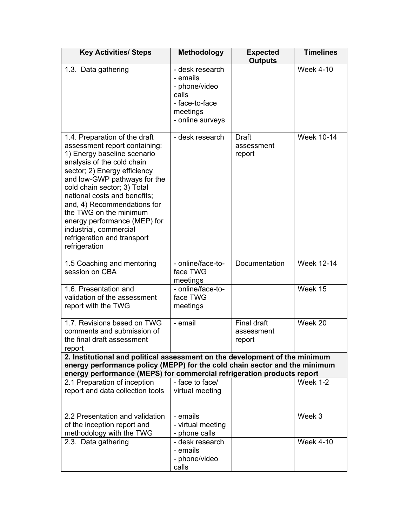| <b>Key Activities/ Steps</b>                                                                                                                                                                                                                                                                                                                                                                                                  | <b>Methodology</b>                                                                                      | <b>Expected</b><br><b>Outputs</b>          | <b>Timelines</b>  |
|-------------------------------------------------------------------------------------------------------------------------------------------------------------------------------------------------------------------------------------------------------------------------------------------------------------------------------------------------------------------------------------------------------------------------------|---------------------------------------------------------------------------------------------------------|--------------------------------------------|-------------------|
| 1.3. Data gathering                                                                                                                                                                                                                                                                                                                                                                                                           | - desk research<br>- emails<br>- phone/video<br>calls<br>- face-to-face<br>meetings<br>- online surveys |                                            | <b>Week 4-10</b>  |
| 1.4. Preparation of the draft<br>assessment report containing:<br>1) Energy baseline scenario<br>analysis of the cold chain<br>sector; 2) Energy efficiency<br>and low-GWP pathways for the<br>cold chain sector; 3) Total<br>national costs and benefits;<br>and, 4) Recommendations for<br>the TWG on the minimum<br>energy performance (MEP) for<br>industrial, commercial<br>refrigeration and transport<br>refrigeration | - desk research                                                                                         | <b>Draft</b><br>assessment<br>report       | <b>Week 10-14</b> |
| 1.5 Coaching and mentoring<br>session on CBA                                                                                                                                                                                                                                                                                                                                                                                  | - online/face-to-<br>face TWG<br>meetings                                                               | Documentation                              | <b>Week 12-14</b> |
| 1.6. Presentation and<br>validation of the assessment<br>report with the TWG                                                                                                                                                                                                                                                                                                                                                  | - online/face-to-<br>face TWG<br>meetings                                                               |                                            | Week 15           |
| 1.7. Revisions based on TWG<br>comments and submission of<br>the final draft assessment<br>report                                                                                                                                                                                                                                                                                                                             | - email                                                                                                 | <b>Final draft</b><br>assessment<br>report | Week 20           |
| 2. Institutional and political assessment on the development of the minimum<br>energy performance policy (MEPP) for the cold chain sector and the minimum<br>energy performance (MEPS) for commercial refrigeration products report                                                                                                                                                                                           |                                                                                                         |                                            |                   |
| 2.1 Preparation of inception<br>report and data collection tools                                                                                                                                                                                                                                                                                                                                                              | - face to face/<br>virtual meeting                                                                      |                                            | Week 1-2          |
| 2.2 Presentation and validation<br>of the inception report and<br>methodology with the TWG                                                                                                                                                                                                                                                                                                                                    | - emails<br>- virtual meeting<br>- phone calls                                                          |                                            | Week 3            |
| 2.3. Data gathering                                                                                                                                                                                                                                                                                                                                                                                                           | - desk research<br>- emails<br>- phone/video<br>calls                                                   |                                            | <b>Week 4-10</b>  |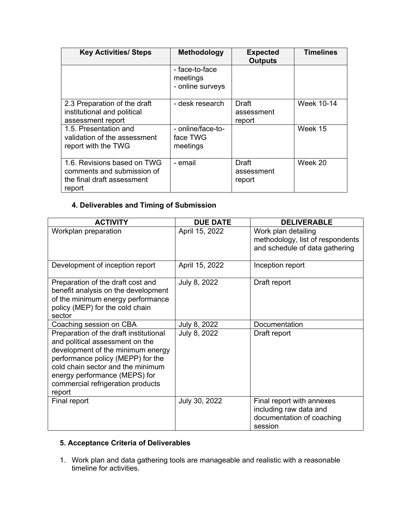| <b>Key Activities/ Steps</b>                                                                      | Methodology                                    | <b>Expected</b><br><b>Outputs</b>    | <b>Timelines</b>  |
|---------------------------------------------------------------------------------------------------|------------------------------------------------|--------------------------------------|-------------------|
|                                                                                                   | - face-to-face<br>meetings<br>- online surveys |                                      |                   |
| 2.3 Preparation of the draft<br>institutional and political<br>assessment report                  | - desk research                                | <b>Draft</b><br>assessment<br>report | <b>Week 10-14</b> |
| 1.5. Presentation and<br>validation of the assessment<br>report with the TWG                      | - online/face-to-<br>face TWG<br>meetings      |                                      | Week 15           |
| 1.6. Revisions based on TWG<br>comments and submission of<br>the final draft assessment<br>report | - email                                        | Draft<br>assessment<br>report        | Week 20           |

# **4. Deliverables and Timing of Submission**

| <b>ACTIVITY</b>                                                                                                                                                                                                                                                          | <b>DUE DATE</b> | <b>DELIVERABLE</b>                                                                          |
|--------------------------------------------------------------------------------------------------------------------------------------------------------------------------------------------------------------------------------------------------------------------------|-----------------|---------------------------------------------------------------------------------------------|
| Workplan preparation                                                                                                                                                                                                                                                     | April 15, 2022  | Work plan detailing<br>methodology, list of respondents<br>and schedule of data gathering   |
| Development of inception report                                                                                                                                                                                                                                          | April 15, 2022  | Inception report                                                                            |
| Preparation of the draft cost and<br>benefit analysis on the development<br>of the minimum energy performance<br>policy (MEP) for the cold chain<br>sector                                                                                                               | July 8, 2022    | Draft report                                                                                |
| Coaching session on CBA                                                                                                                                                                                                                                                  | July 8, 2022    | Documentation                                                                               |
| Preparation of the draft institutional<br>and political assessment on the<br>development of the minimum energy<br>performance policy (MEPP) for the<br>cold chain sector and the minimum<br>energy performance (MEPS) for<br>commercial refrigeration products<br>report | July 8, 2022    | Draft report                                                                                |
| Final report                                                                                                                                                                                                                                                             | July 30, 2022   | Final report with annexes<br>including raw data and<br>documentation of coaching<br>session |

# **5. Acceptance Criteria of Deliverables**

1. Work plan and data gathering tools are manageable and realistic with a reasonable timeline for activities.